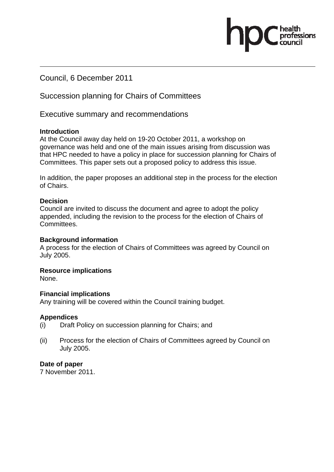Council, 6 December 2011

Succession planning for Chairs of Committees

Executive summary and recommendations

### **Introduction**

At the Council away day held on 19-20 October 2011, a workshop on governance was held and one of the main issues arising from discussion was that HPC needed to have a policy in place for succession planning for Chairs of Committees. This paper sets out a proposed policy to address this issue.

.<br>essions

In addition, the paper proposes an additional step in the process for the election of Chairs.

### **Decision**

Council are invited to discuss the document and agree to adopt the policy appended, including the revision to the process for the election of Chairs of Committees.

#### **Background information**

A process for the election of Chairs of Committees was agreed by Council on July 2005.

## **Resource implications**

None.

#### **Financial implications**

Any training will be covered within the Council training budget.

#### **Appendices**

- (i) Draft Policy on succession planning for Chairs; and
- (ii) Process for the election of Chairs of Committees agreed by Council on July 2005.

#### **Date of paper**

7 November 2011.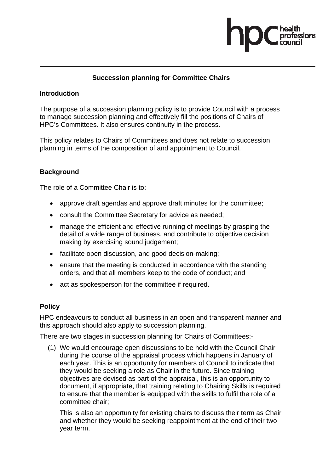

# **Succession planning for Committee Chairs**

## **Introduction**

The purpose of a succession planning policy is to provide Council with a process to manage succession planning and effectively fill the positions of Chairs of HPC's Committees. It also ensures continuity in the process.

This policy relates to Chairs of Committees and does not relate to succession planning in terms of the composition of and appointment to Council.

# **Background**

The role of a Committee Chair is to:

- approve draft agendas and approve draft minutes for the committee;
- consult the Committee Secretary for advice as needed;
- manage the efficient and effective running of meetings by grasping the detail of a wide range of business, and contribute to objective decision making by exercising sound judgement;
- facilitate open discussion, and good decision-making;
- ensure that the meeting is conducted in accordance with the standing orders, and that all members keep to the code of conduct; and
- act as spokesperson for the committee if required.

## **Policy**

HPC endeavours to conduct all business in an open and transparent manner and this approach should also apply to succession planning.

There are two stages in succession planning for Chairs of Committees:-

(1) We would encourage open discussions to be held with the Council Chair during the course of the appraisal process which happens in January of each year. This is an opportunity for members of Council to indicate that they would be seeking a role as Chair in the future. Since training objectives are devised as part of the appraisal, this is an opportunity to document, if appropriate, that training relating to Chairing Skills is required to ensure that the member is equipped with the skills to fulfil the role of a committee chair;

 This is also an opportunity for existing chairs to discuss their term as Chair and whether they would be seeking reappointment at the end of their two year term.